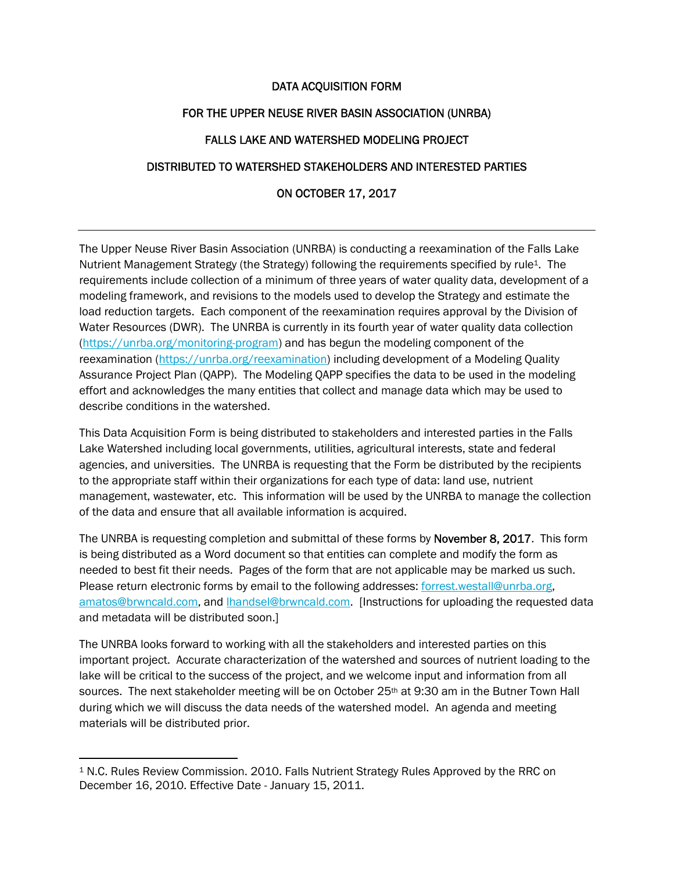### DATA ACQUISITION FORM

### FOR THE UPPER NEUSE RIVER BASIN ASSOCIATION (UNRBA)

### FALLS LAKE AND WATERSHED MODELING PROJECT

### DISTRIBUTED TO WATERSHED STAKEHOLDERS AND INTERESTED PARTIES

### ON OCTOBER 17, 2017

The Upper Neuse River Basin Association (UNRBA) is conducting a reexamination of the Falls Lake Nutrient Management Strategy (the Strategy) following the requirements specified by rule<sup>1</sup>. The requirements include collection of a minimum of three years of water quality data, development of a modeling framework, and revisions to the models used to develop the Strategy and estimate the load reduction targets. Each component of the reexamination requires approval by the Division of Water Resources (DWR). The UNRBA is currently in its fourth year of water quality data collection (https://unrba.org/monitoring-program) and has begun the modeling component of the reexamination (https://unrba.org/reexamination) including development of a Modeling Quality Assurance Project Plan (QAPP). The Modeling QAPP specifies the data to be used in the modeling effort and acknowledges the many entities that collect and manage data which may be used to describe conditions in the watershed.

This Data Acquisition Form is being distributed to stakeholders and interested parties in the Falls Lake Watershed including local governments, utilities, agricultural interests, state and federal agencies, and universities. The UNRBA is requesting that the Form be distributed by the recipients to the appropriate staff within their organizations for each type of data: land use, nutrient management, wastewater, etc. This information will be used by the UNRBA to manage the collection of the data and ensure that all available information is acquired.

The UNRBA is requesting completion and submittal of these forms by **November 8, 2017**. This form is being distributed as a Word document so that entities can complete and modify the form as needed to best fit their needs. Pages of the form that are not applicable may be marked us such. Please return electronic forms by email to the following addresses: forrest.westall@unrba.org, amatos@brwncald.com, and lhandsel@brwncald.com. [Instructions for uploading the requested data and metadata will be distributed soon.]

The UNRBA looks forward to working with all the stakeholders and interested parties on this important project. Accurate characterization of the watershed and sources of nutrient loading to the lake will be critical to the success of the project, and we welcome input and information from all sources. The next stakeholder meeting will be on October 25<sup>th</sup> at 9:30 am in the Butner Town Hall during which we will discuss the data needs of the watershed model. An agenda and meeting materials will be distributed prior.

<sup>1</sup> N.C. Rules Review Commission. 2010. Falls Nutrient Strategy Rules Approved by the RRC on December 16, 2010. Effective Date - January 15, 2011.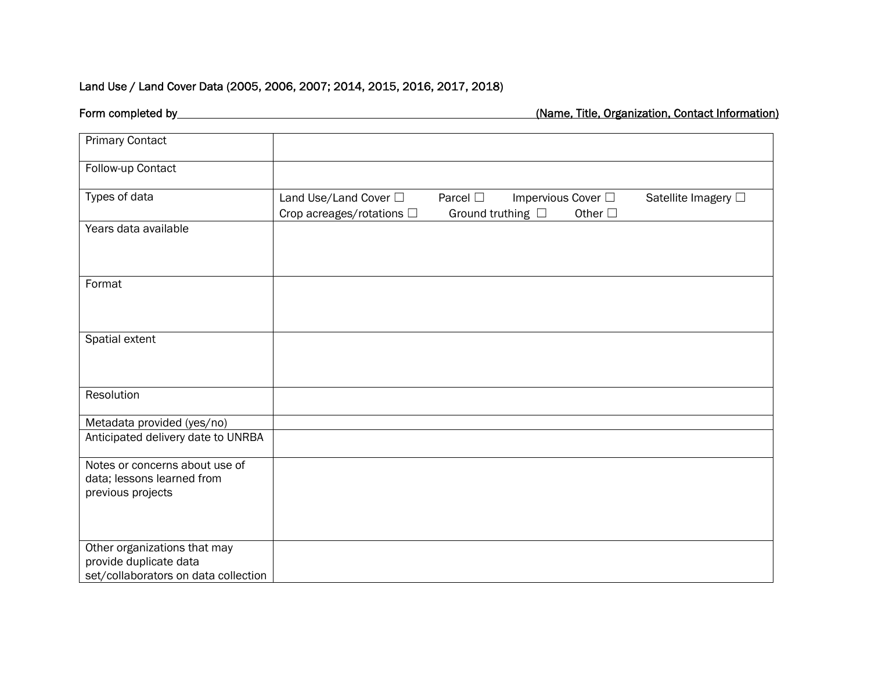# Land Use / Land Cover Data (2005, 2006, 2007; 2014, 2015, 2016, 2017, 2018)

| <b>Primary Contact</b>                                                                         |                                                         |                                            |                                               |                     |
|------------------------------------------------------------------------------------------------|---------------------------------------------------------|--------------------------------------------|-----------------------------------------------|---------------------|
| Follow-up Contact                                                                              |                                                         |                                            |                                               |                     |
| Types of data                                                                                  | Land Use/Land Cover □<br>Crop acreages/rotations $\Box$ | Parcel $\square$<br>Ground truthing $\Box$ | Impervious Cover $\square$<br>Other $\square$ | Satellite Imagery □ |
| Years data available                                                                           |                                                         |                                            |                                               |                     |
| Format                                                                                         |                                                         |                                            |                                               |                     |
| Spatial extent                                                                                 |                                                         |                                            |                                               |                     |
| Resolution                                                                                     |                                                         |                                            |                                               |                     |
| Metadata provided (yes/no)                                                                     |                                                         |                                            |                                               |                     |
| Anticipated delivery date to UNRBA                                                             |                                                         |                                            |                                               |                     |
| Notes or concerns about use of<br>data; lessons learned from<br>previous projects              |                                                         |                                            |                                               |                     |
| Other organizations that may<br>provide duplicate data<br>set/collaborators on data collection |                                                         |                                            |                                               |                     |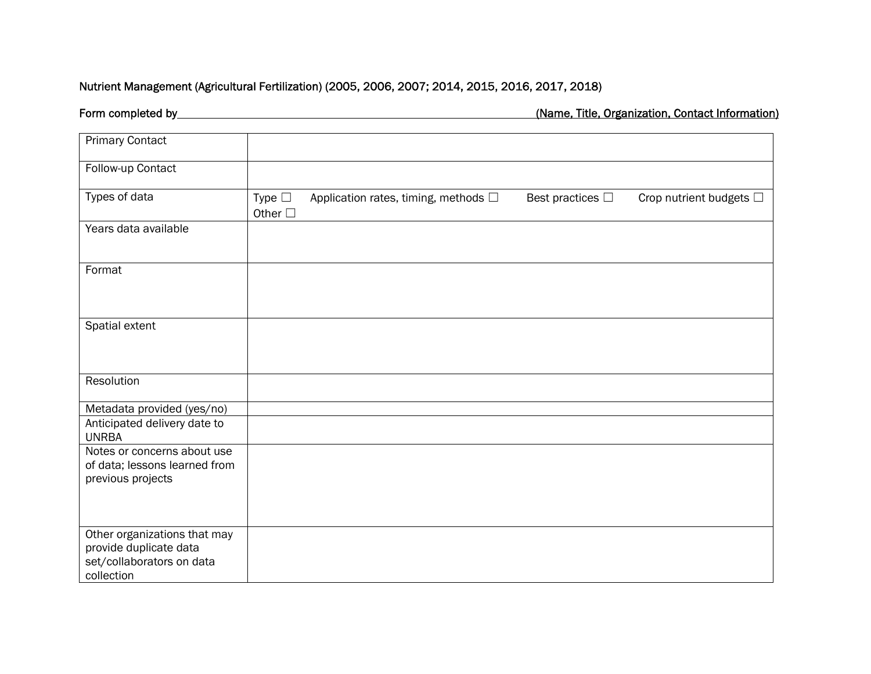### Nutrient Management (Agricultural Fertilization) (2005, 2006, 2007; 2014, 2015, 2016, 2017, 2018)

| <b>Primary Contact</b>                                                                            |                                   |                                              |                          |                              |
|---------------------------------------------------------------------------------------------------|-----------------------------------|----------------------------------------------|--------------------------|------------------------------|
| Follow-up Contact                                                                                 |                                   |                                              |                          |                              |
| Types of data                                                                                     | Type $\square$<br>Other $\square$ | Application rates, timing, methods $\square$ | Best practices $\square$ | Crop nutrient budgets $\Box$ |
| Years data available                                                                              |                                   |                                              |                          |                              |
| Format                                                                                            |                                   |                                              |                          |                              |
| Spatial extent                                                                                    |                                   |                                              |                          |                              |
| Resolution                                                                                        |                                   |                                              |                          |                              |
| Metadata provided (yes/no)                                                                        |                                   |                                              |                          |                              |
| Anticipated delivery date to<br><b>UNRBA</b>                                                      |                                   |                                              |                          |                              |
| Notes or concerns about use<br>of data; lessons learned from<br>previous projects                 |                                   |                                              |                          |                              |
|                                                                                                   |                                   |                                              |                          |                              |
| Other organizations that may<br>provide duplicate data<br>set/collaborators on data<br>collection |                                   |                                              |                          |                              |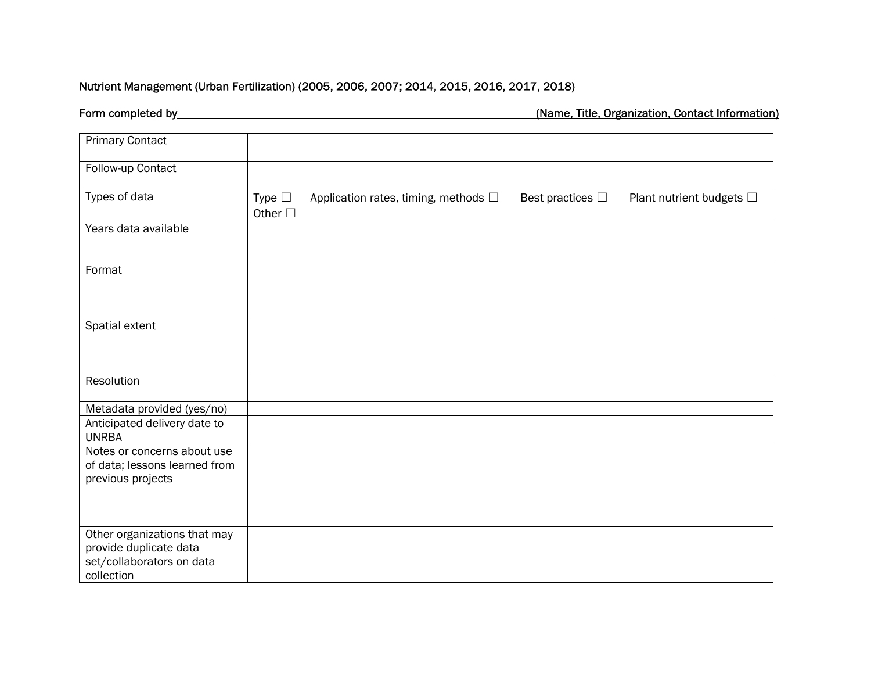## Nutrient Management (Urban Fertilization) (2005, 2006, 2007; 2014, 2015, 2016, 2017, 2018)

| <b>Primary Contact</b>                                                                            |                                   |                                              |                          |                               |
|---------------------------------------------------------------------------------------------------|-----------------------------------|----------------------------------------------|--------------------------|-------------------------------|
| Follow-up Contact                                                                                 |                                   |                                              |                          |                               |
| Types of data                                                                                     | Type $\square$<br>Other $\square$ | Application rates, timing, methods $\square$ | Best practices $\square$ | Plant nutrient budgets $\Box$ |
| Years data available                                                                              |                                   |                                              |                          |                               |
| Format                                                                                            |                                   |                                              |                          |                               |
| Spatial extent                                                                                    |                                   |                                              |                          |                               |
| Resolution                                                                                        |                                   |                                              |                          |                               |
| Metadata provided (yes/no)                                                                        |                                   |                                              |                          |                               |
| Anticipated delivery date to<br><b>UNRBA</b>                                                      |                                   |                                              |                          |                               |
| Notes or concerns about use<br>of data; lessons learned from<br>previous projects                 |                                   |                                              |                          |                               |
| Other organizations that may<br>provide duplicate data<br>set/collaborators on data<br>collection |                                   |                                              |                          |                               |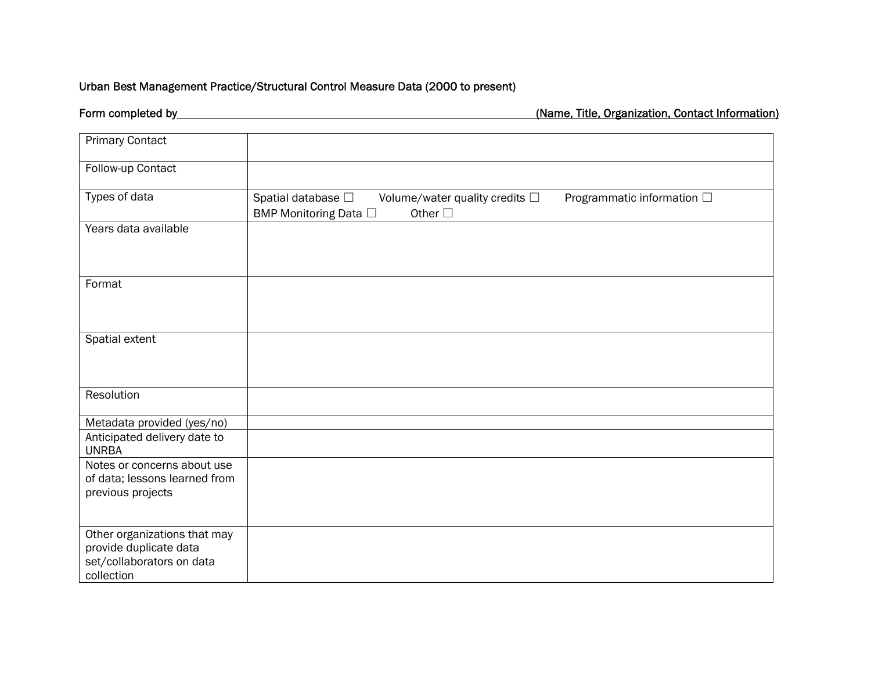## Urban Best Management Practice/Structural Control Measure Data (2000 to present)

| <b>Primary Contact</b>                                                                            |                                                                                                                                                     |
|---------------------------------------------------------------------------------------------------|-----------------------------------------------------------------------------------------------------------------------------------------------------|
| Follow-up Contact                                                                                 |                                                                                                                                                     |
| Types of data                                                                                     | Programmatic information $\Box$<br>Spatial database $\square$<br>Volume/water quality credits $\square$<br>Other $\square$<br>BMP Monitoring Data □ |
| Years data available                                                                              |                                                                                                                                                     |
| Format                                                                                            |                                                                                                                                                     |
| Spatial extent                                                                                    |                                                                                                                                                     |
| Resolution                                                                                        |                                                                                                                                                     |
| Metadata provided (yes/no)                                                                        |                                                                                                                                                     |
| Anticipated delivery date to<br><b>UNRBA</b>                                                      |                                                                                                                                                     |
| Notes or concerns about use<br>of data; lessons learned from<br>previous projects                 |                                                                                                                                                     |
| Other organizations that may<br>provide duplicate data<br>set/collaborators on data<br>collection |                                                                                                                                                     |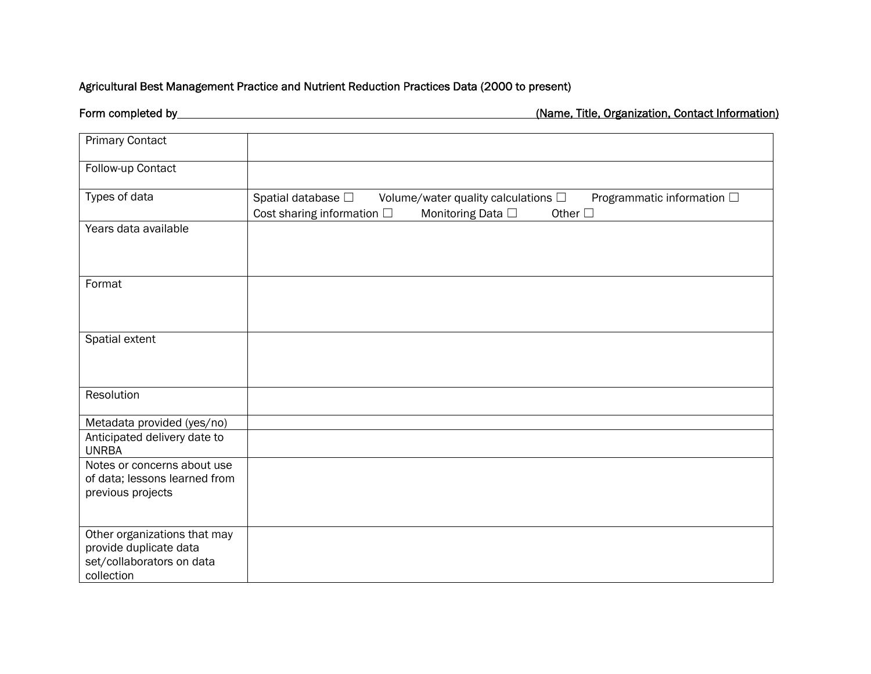### Agricultural Best Management Practice and Nutrient Reduction Practices Data (2000 to present)

| <b>Primary Contact</b>                                                                            |                                                               |                                                                       |                                               |
|---------------------------------------------------------------------------------------------------|---------------------------------------------------------------|-----------------------------------------------------------------------|-----------------------------------------------|
| Follow-up Contact                                                                                 |                                                               |                                                                       |                                               |
| Types of data                                                                                     | Spatial database $\square$<br>Cost sharing information $\Box$ | Volume/water quality calculations $\Box$<br>Monitoring Data $\square$ | Programmatic information □<br>Other $\square$ |
| Years data available                                                                              |                                                               |                                                                       |                                               |
| Format                                                                                            |                                                               |                                                                       |                                               |
| Spatial extent                                                                                    |                                                               |                                                                       |                                               |
| Resolution                                                                                        |                                                               |                                                                       |                                               |
| Metadata provided (yes/no)                                                                        |                                                               |                                                                       |                                               |
| Anticipated delivery date to<br><b>UNRBA</b>                                                      |                                                               |                                                                       |                                               |
| Notes or concerns about use<br>of data; lessons learned from<br>previous projects                 |                                                               |                                                                       |                                               |
| Other organizations that may<br>provide duplicate data<br>set/collaborators on data<br>collection |                                                               |                                                                       |                                               |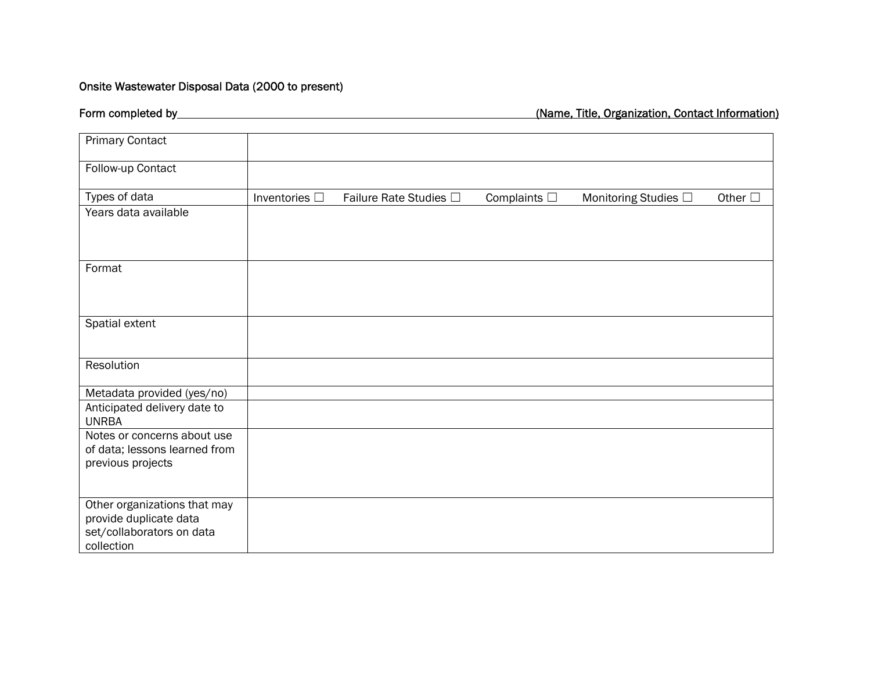## Onsite Wastewater Disposal Data (2000 to present)

| <b>Primary Contact</b>                                                                            |                    |                        |                      |                           |                 |
|---------------------------------------------------------------------------------------------------|--------------------|------------------------|----------------------|---------------------------|-----------------|
| Follow-up Contact                                                                                 |                    |                        |                      |                           |                 |
| Types of data                                                                                     | Inventories $\Box$ | Failure Rate Studies □ | Complaints $\square$ | Monitoring Studies $\Box$ | Other $\square$ |
| Years data available                                                                              |                    |                        |                      |                           |                 |
| Format                                                                                            |                    |                        |                      |                           |                 |
| Spatial extent                                                                                    |                    |                        |                      |                           |                 |
| Resolution                                                                                        |                    |                        |                      |                           |                 |
| Metadata provided (yes/no)                                                                        |                    |                        |                      |                           |                 |
| Anticipated delivery date to<br><b>UNRBA</b>                                                      |                    |                        |                      |                           |                 |
| Notes or concerns about use<br>of data; lessons learned from<br>previous projects                 |                    |                        |                      |                           |                 |
| Other organizations that may<br>provide duplicate data<br>set/collaborators on data<br>collection |                    |                        |                      |                           |                 |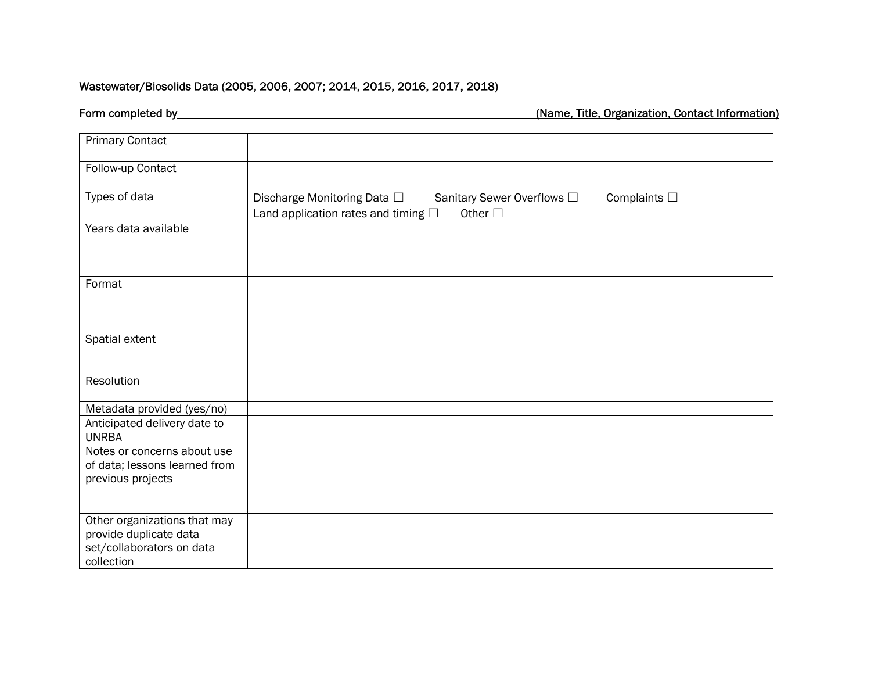## Wastewater/Biosolids Data (2005, 2006, 2007; 2014, 2015, 2016, 2017, 2018)

| <b>Primary Contact</b>                                                                            |                                                                                                                                                    |
|---------------------------------------------------------------------------------------------------|----------------------------------------------------------------------------------------------------------------------------------------------------|
| Follow-up Contact                                                                                 |                                                                                                                                                    |
| Types of data                                                                                     | Complaints $\square$<br>Discharge Monitoring Data $\Box$<br>Sanitary Sewer Overflows □<br>Other $\Box$<br>Land application rates and timing $\Box$ |
| Years data available                                                                              |                                                                                                                                                    |
| Format                                                                                            |                                                                                                                                                    |
| Spatial extent                                                                                    |                                                                                                                                                    |
| Resolution                                                                                        |                                                                                                                                                    |
| Metadata provided (yes/no)                                                                        |                                                                                                                                                    |
| Anticipated delivery date to<br><b>UNRBA</b>                                                      |                                                                                                                                                    |
| Notes or concerns about use<br>of data; lessons learned from<br>previous projects                 |                                                                                                                                                    |
| Other organizations that may<br>provide duplicate data<br>set/collaborators on data<br>collection |                                                                                                                                                    |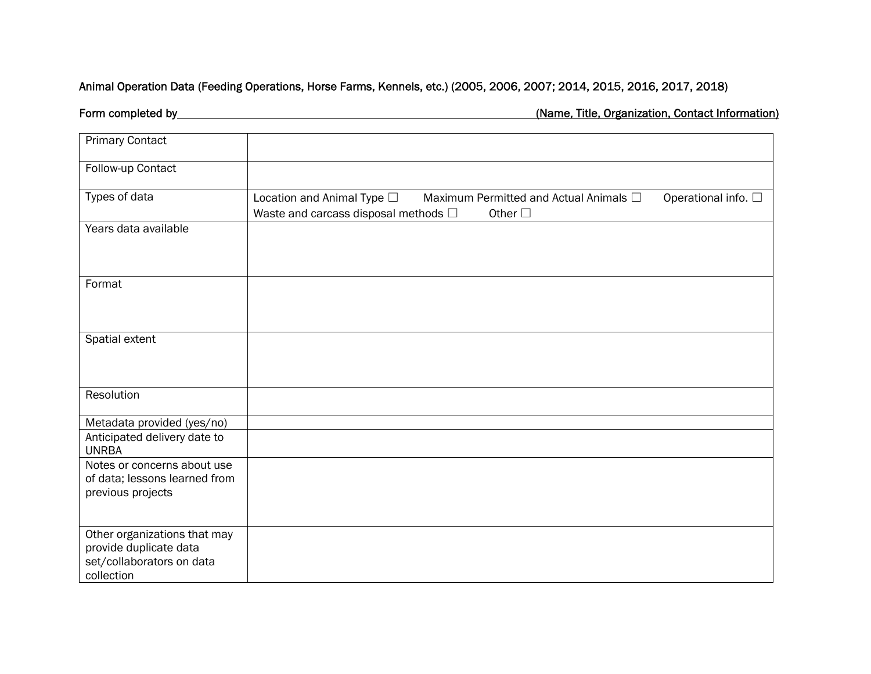## Animal Operation Data (Feeding Operations, Horse Farms, Kennels, etc.) (2005, 2006, 2007; 2014, 2015, 2016, 2017, 2018)

| <b>Primary Contact</b>                                                                            |                                                                                               |                                                                            |
|---------------------------------------------------------------------------------------------------|-----------------------------------------------------------------------------------------------|----------------------------------------------------------------------------|
| Follow-up Contact                                                                                 |                                                                                               |                                                                            |
| Types of data                                                                                     | Location and Animal Type □<br>Waste and carcass disposal methods $\square$<br>Other $\square$ | Maximum Permitted and Actual Animals $\Box$<br>Operational info. $\square$ |
| Years data available                                                                              |                                                                                               |                                                                            |
| Format                                                                                            |                                                                                               |                                                                            |
| Spatial extent                                                                                    |                                                                                               |                                                                            |
| Resolution                                                                                        |                                                                                               |                                                                            |
| Metadata provided (yes/no)                                                                        |                                                                                               |                                                                            |
| Anticipated delivery date to<br><b>UNRBA</b>                                                      |                                                                                               |                                                                            |
| Notes or concerns about use<br>of data; lessons learned from<br>previous projects                 |                                                                                               |                                                                            |
| Other organizations that may<br>provide duplicate data<br>set/collaborators on data<br>collection |                                                                                               |                                                                            |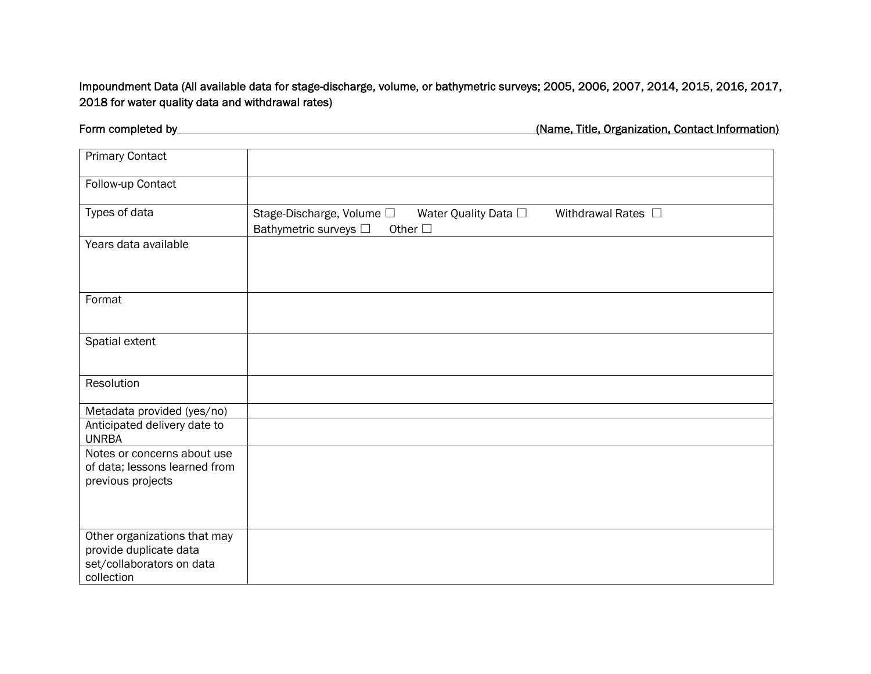Impoundment Data (All available data for stage-discharge, volume, or bathymetric surveys; 2005, 2006, 2007, 2014, 2015, 2016, 2017, 2018 for water quality data and withdrawal rates)

| <b>Primary Contact</b>                                                                            |                                                                                                                          |
|---------------------------------------------------------------------------------------------------|--------------------------------------------------------------------------------------------------------------------------|
| Follow-up Contact                                                                                 |                                                                                                                          |
| Types of data                                                                                     | Stage-Discharge, Volume □<br>Water Quality Data □<br>Withdrawal Rates □<br>Bathymetric surveys $\Box$<br>Other $\square$ |
| Years data available                                                                              |                                                                                                                          |
| Format                                                                                            |                                                                                                                          |
| Spatial extent                                                                                    |                                                                                                                          |
| Resolution                                                                                        |                                                                                                                          |
| Metadata provided (yes/no)                                                                        |                                                                                                                          |
| Anticipated delivery date to<br><b>UNRBA</b>                                                      |                                                                                                                          |
| Notes or concerns about use<br>of data; lessons learned from<br>previous projects                 |                                                                                                                          |
|                                                                                                   |                                                                                                                          |
| Other organizations that may<br>provide duplicate data<br>set/collaborators on data<br>collection |                                                                                                                          |